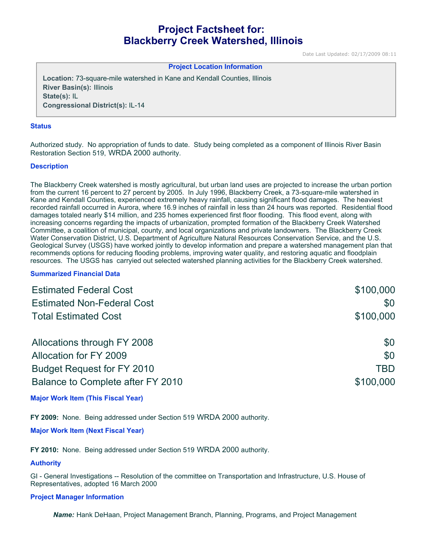# **Project Factsheet for: Blackberry Creek Watershed, Illinois**

Date Last Updated: 02/17/2009 08:11

## **Project Location Information**

**Location:** 73-square-mile watershed in Kane and Kendall Counties, Illinois **River Basin(s):** Illinois **State(s):** IL **Congressional District(s):** IL-14

#### **Status**

Authorized study. No appropriation of funds to date. Study being completed as a component of Illinois River Basin Restoration Section 519, WRDA 2000 authority.

#### **Description**

The Blackberry Creek watershed is mostly agricultural, but urban land uses are projected to increase the urban portion from the current 16 percent to 27 percent by 2005. In July 1996, Blackberry Creek, a 73-square-mile watershed in Kane and Kendall Counties, experienced extremely heavy rainfall, causing significant flood damages. The heaviest recorded rainfall occurred in Aurora, where 16.9 inches of rainfall in less than 24 hours was reported. Residential flood damages totaled nearly \$14 million, and 235 homes experienced first floor flooding. This flood event, along with increasing concerns regarding the impacts of urbanization, prompted formation of the Blackberry Creek Watershed Committee, a coalition of municipal, county, and local organizations and private landowners. The Blackberry Creek Water Conservation District, U.S. Department of Agriculture Natural Resources Conservation Service, and the U.S. Geological Survey (USGS) have worked jointly to develop information and prepare a watershed management plan that recommends options for reducing flooding problems, improving water quality, and restoring aquatic and floodplain resources. The USGS has carryied out selected watershed planning activities for the Blackberry Creek watershed.

## **Summarized Financial Data**

| <b>Estimated Federal Cost</b>     | \$100,000 |
|-----------------------------------|-----------|
| <b>Estimated Non-Federal Cost</b> | \$0       |
| <b>Total Estimated Cost</b>       | \$100,000 |
| Allocations through FY 2008       | \$0       |
| Allocation for FY 2009            | \$0       |
| <b>Budget Request for FY 2010</b> | TBD       |
| Balance to Complete after FY 2010 | \$100,000 |

# **Major Work Item (This Fiscal Year)**

**FY 2009:** None. Being addressed under Section 519 WRDA 2000 authority.

# **Major Work Item (Next Fiscal Year)**

**FY 2010:** None. Being addressed under Section 519 WRDA 2000 authority.

## **Authority**

GI - General Investigations -- Resolution of the committee on Transportation and Infrastructure, U.S. House of Representatives, adopted 16 March 2000

#### **Project Manager Information**

*Name:* Hank DeHaan, Project Management Branch, Planning, Programs, and Project Management